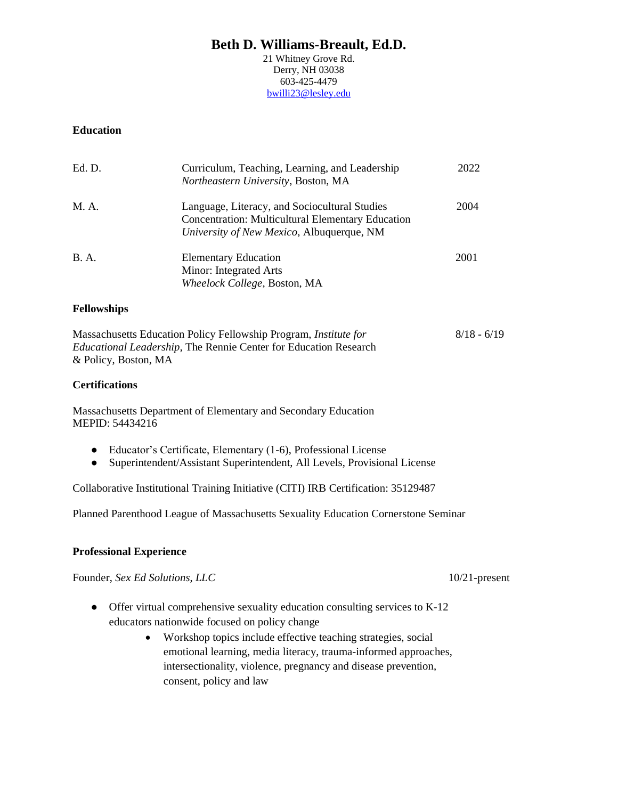21 Whitney Grove Rd. Derry, NH 03038 603-425-4479 [bwilli23@lesley.edu](mailto:bwilli23@lesley.edu)

### **Education**

| Ed. D.      | Curriculum, Teaching, Learning, and Leadership<br>Northeastern University, Boston, MA                                                                  | 2022 |
|-------------|--------------------------------------------------------------------------------------------------------------------------------------------------------|------|
| M. A.       | Language, Literacy, and Sociocultural Studies<br><b>Concentration: Multicultural Elementary Education</b><br>University of New Mexico, Albuquerque, NM | 2004 |
| <b>B.A.</b> | <b>Elementary Education</b><br>Minor: Integrated Arts<br>Wheelock College, Boston, MA                                                                  | 2001 |

#### **Fellowships**

| Massachusetts Education Policy Fellowship Program, Institute for         | $8/18 - 6/19$ |
|--------------------------------------------------------------------------|---------------|
| <i>Educational Leadership</i> , The Rennie Center for Education Research |               |
| & Policy, Boston, MA                                                     |               |

#### **Certifications**

Massachusetts Department of Elementary and Secondary Education MEPID: 54434216

- Educator's Certificate, Elementary (1-6), Professional License
- Superintendent/Assistant Superintendent, All Levels, Provisional License

Collaborative Institutional Training Initiative (CITI) IRB Certification: 35129487

Planned Parenthood League of Massachusetts Sexuality Education Cornerstone Seminar

### **Professional Experience**

Founder, *Sex Ed Solutions*, *LLC* 10/21-present

- Offer virtual comprehensive sexuality education consulting services to K-12 educators nationwide focused on policy change
	- Workshop topics include effective teaching strategies, social emotional learning, media literacy, trauma-informed approaches, intersectionality, violence, pregnancy and disease prevention, consent, policy and law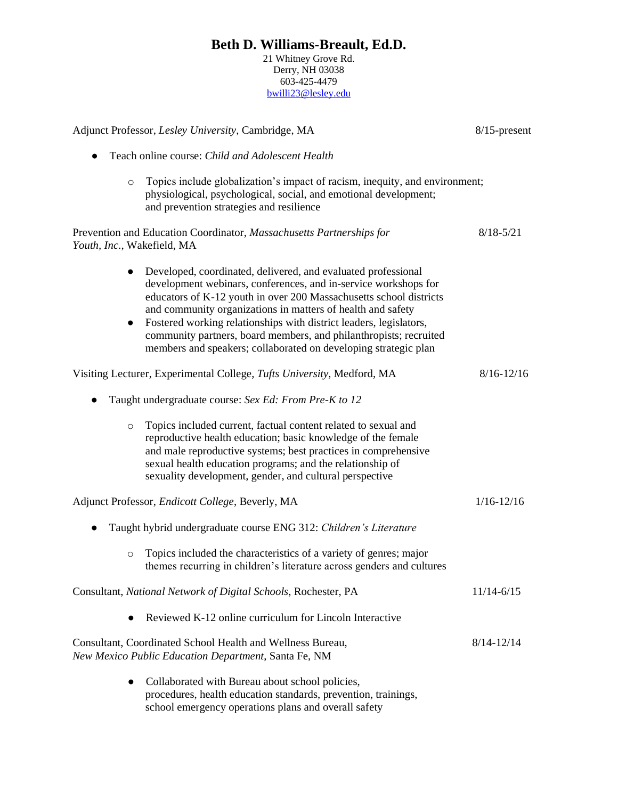21 Whitney Grove Rd. Derry, NH 03038 603-425-4479 [bwilli23@lesley.edu](mailto:bwilli23@lesley.edu)

| Adjunct Professor, Lesley University, Cambridge, MA |                                                                                                                                                                                                                                                                                                                                                                                                                                                                                     | 8/15-present   |  |
|-----------------------------------------------------|-------------------------------------------------------------------------------------------------------------------------------------------------------------------------------------------------------------------------------------------------------------------------------------------------------------------------------------------------------------------------------------------------------------------------------------------------------------------------------------|----------------|--|
| $\bullet$                                           | Teach online course: Child and Adolescent Health                                                                                                                                                                                                                                                                                                                                                                                                                                    |                |  |
| $\circ$                                             | Topics include globalization's impact of racism, inequity, and environment;<br>physiological, psychological, social, and emotional development;<br>and prevention strategies and resilience                                                                                                                                                                                                                                                                                         |                |  |
| Youth, Inc., Wakefield, MA                          | Prevention and Education Coordinator, Massachusetts Partnerships for                                                                                                                                                                                                                                                                                                                                                                                                                | $8/18 - 5/21$  |  |
| $\bullet$                                           | Developed, coordinated, delivered, and evaluated professional<br>development webinars, conferences, and in-service workshops for<br>educators of K-12 youth in over 200 Massachusetts school districts<br>and community organizations in matters of health and safety<br>Fostered working relationships with district leaders, legislators,<br>community partners, board members, and philanthropists; recruited<br>members and speakers; collaborated on developing strategic plan |                |  |
|                                                     | Visiting Lecturer, Experimental College, Tufts University, Medford, MA                                                                                                                                                                                                                                                                                                                                                                                                              | $8/16 - 12/16$ |  |
|                                                     | Taught undergraduate course: Sex Ed: From Pre-K to 12                                                                                                                                                                                                                                                                                                                                                                                                                               |                |  |
| $\circ$                                             | Topics included current, factual content related to sexual and<br>reproductive health education; basic knowledge of the female<br>and male reproductive systems; best practices in comprehensive<br>sexual health education programs; and the relationship of<br>sexuality development, gender, and cultural perspective                                                                                                                                                            |                |  |
|                                                     | Adjunct Professor, <i>Endicott College</i> , Beverly, MA                                                                                                                                                                                                                                                                                                                                                                                                                            | $1/16 - 12/16$ |  |
|                                                     | Taught hybrid undergraduate course ENG 312: Children's Literature                                                                                                                                                                                                                                                                                                                                                                                                                   |                |  |
| $\circ$                                             | Topics included the characteristics of a variety of genres; major<br>themes recurring in children's literature across genders and cultures                                                                                                                                                                                                                                                                                                                                          |                |  |
|                                                     | Consultant, National Network of Digital Schools, Rochester, PA                                                                                                                                                                                                                                                                                                                                                                                                                      | $11/14 - 6/15$ |  |
|                                                     | Reviewed K-12 online curriculum for Lincoln Interactive                                                                                                                                                                                                                                                                                                                                                                                                                             |                |  |
|                                                     | Consultant, Coordinated School Health and Wellness Bureau,<br>New Mexico Public Education Department, Santa Fe, NM                                                                                                                                                                                                                                                                                                                                                                  | $8/14 - 12/14$ |  |
| $\bullet$                                           | Collaborated with Bureau about school policies,<br>procedures, health education standards, prevention, trainings,<br>school emergency operations plans and overall safety                                                                                                                                                                                                                                                                                                           |                |  |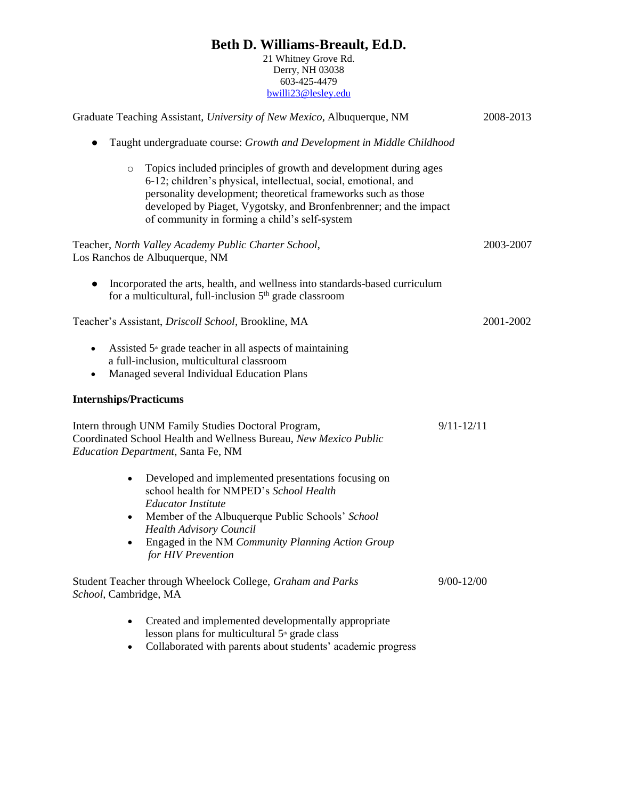21 Whitney Grove Rd. Derry, NH 03038 603-425-4479 [bwilli23@lesley.edu](mailto:bwilli23@lesley.edu)

| Graduate Teaching Assistant, University of New Mexico, Albuquerque, NM                                                                                                                                                                                                                                                                |                |
|---------------------------------------------------------------------------------------------------------------------------------------------------------------------------------------------------------------------------------------------------------------------------------------------------------------------------------------|----------------|
| Taught undergraduate course: Growth and Development in Middle Childhood                                                                                                                                                                                                                                                               |                |
| Topics included principles of growth and development during ages<br>$\circ$<br>6-12; children's physical, intellectual, social, emotional, and<br>personality development; theoretical frameworks such as those<br>developed by Piaget, Vygotsky, and Bronfenbrenner; and the impact<br>of community in forming a child's self-system |                |
| Teacher, North Valley Academy Public Charter School,<br>Los Ranchos de Albuquerque, NM                                                                                                                                                                                                                                                | 2003-2007      |
| Incorporated the arts, health, and wellness into standards-based curriculum<br>for a multicultural, full-inclusion 5 <sup>th</sup> grade classroom                                                                                                                                                                                    |                |
| Teacher's Assistant, Driscoll School, Brookline, MA                                                                                                                                                                                                                                                                                   | 2001-2002      |
| Assisted 5 <sup>th</sup> grade teacher in all aspects of maintaining<br>٠<br>a full-inclusion, multicultural classroom<br>Managed several Individual Education Plans<br>٠                                                                                                                                                             |                |
| <b>Internships/Practicums</b>                                                                                                                                                                                                                                                                                                         |                |
| Intern through UNM Family Studies Doctoral Program,<br>Coordinated School Health and Wellness Bureau, New Mexico Public<br>Education Department, Santa Fe, NM                                                                                                                                                                         | $9/11 - 12/11$ |
| Developed and implemented presentations focusing on<br>$\bullet$<br>school health for NMPED's School Health<br><b>Educator Institute</b><br>Member of the Albuquerque Public Schools' School<br>$\bullet$<br><b>Health Advisory Council</b><br>Engaged in the NM Community Planning Action Group<br>for HIV Prevention                |                |
| Student Teacher through Wheelock College, Graham and Parks<br>School, Cambridge, MA                                                                                                                                                                                                                                                   | $9/00 - 12/00$ |
| Created and implemented developmentally appropriate<br>$\bullet$<br>lesson plans for multicultural 5 <sup>th</sup> grade class<br>Collaborated with parents about students' academic progress                                                                                                                                         |                |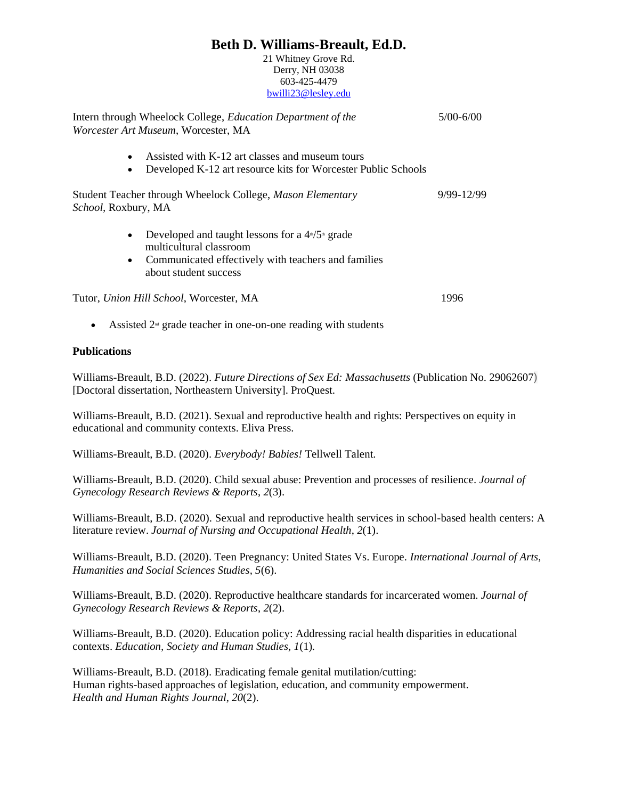21 Whitney Grove Rd. Derry, NH 03038 603-425-4479 [bwilli23@lesley.edu](mailto:bwilli23@lesley.edu)

| Intern through Wheelock College, <i>Education Department of the</i><br>Worcester Art Museum, Worcester, MA                                                                                | 5/00-6/00  |
|-------------------------------------------------------------------------------------------------------------------------------------------------------------------------------------------|------------|
| Assisted with K-12 art classes and museum tours<br>$\bullet$<br>Developed K-12 art resource kits for Worcester Public Schools<br>$\bullet$                                                |            |
| Student Teacher through Wheelock College, Mason Elementary<br>School, Roxbury, MA                                                                                                         | 9/99-12/99 |
| Developed and taught lessons for a $4\sqrt{5}$ grade<br>$\bullet$<br>multicultural classroom<br>Communicated effectively with teachers and families<br>$\bullet$<br>about student success |            |
| Tutor, Union Hill School, Worcester, MA                                                                                                                                                   | 1996       |
| Assisted $2nd$ grade teacher in one-on-one reading with students<br>٠                                                                                                                     |            |

#### **Publications**

Williams-Breault, B.D. (2022). *Future Directions of Sex Ed: Massachusetts* (Publication No. 29062607) [Doctoral dissertation, Northeastern University]. ProQuest.

Williams-Breault, B.D. (2021). Sexual and reproductive health and rights: Perspectives on equity in educational and community contexts. Eliva Press.

Williams-Breault, B.D. (2020). *Everybody! Babies!* Tellwell Talent.

Williams-Breault, B.D. (2020). Child sexual abuse: Prevention and processes of resilience. *Journal of Gynecology Research Reviews & Reports*, *2*(3).

Williams-Breault, B.D. (2020). Sexual and reproductive health services in school-based health centers: A literature review. *Journal of Nursing and Occupational Health*, *2*(1).

Williams-Breault, B.D. (2020). Teen Pregnancy: United States Vs. Europe. *International Journal of Arts, Humanities and Social Sciences Studies, 5*(6).

Williams-Breault, B.D. (2020). Reproductive healthcare standards for incarcerated women. *Journal of Gynecology Research Reviews & Reports*, *2*(2).

Williams-Breault, B.D. (2020). Education policy: Addressing racial health disparities in educational contexts. *Education, Society and Human Studies, 1*(1)*.* 

Williams-Breault, B.D. (2018). Eradicating female genital mutilation/cutting: Human rights-based approaches of legislation, education, and community empowerment. *Health and Human Rights Journal*, *20*(2).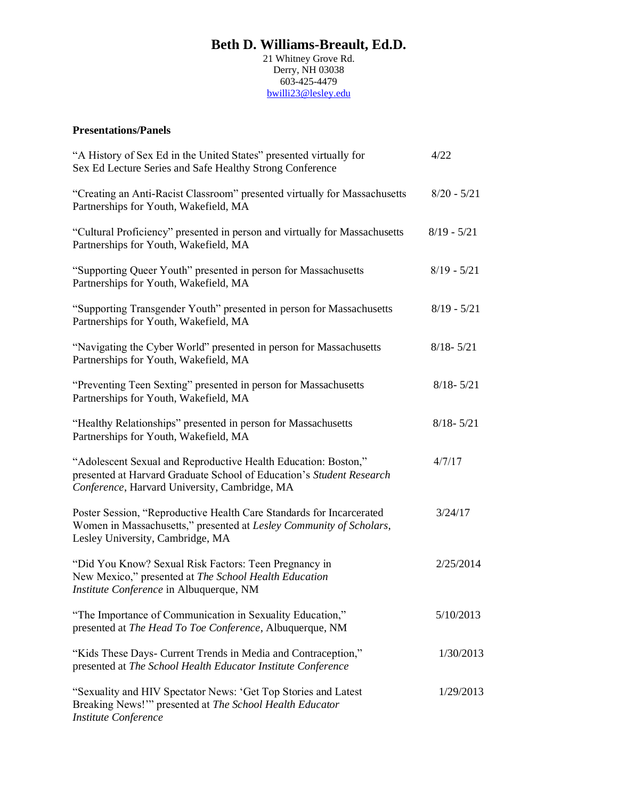21 Whitney Grove Rd. Derry, NH 03038 603-425-4479 [bwilli23@lesley.edu](mailto:bwilli23@lesley.edu)

### **Presentations/Panels**

| "A History of Sex Ed in the United States" presented virtually for<br>Sex Ed Lecture Series and Safe Healthy Strong Conference                                                          | 4/22          |
|-----------------------------------------------------------------------------------------------------------------------------------------------------------------------------------------|---------------|
| "Creating an Anti-Racist Classroom" presented virtually for Massachusetts<br>Partnerships for Youth, Wakefield, MA                                                                      | $8/20 - 5/21$ |
| "Cultural Proficiency" presented in person and virtually for Massachusetts<br>Partnerships for Youth, Wakefield, MA                                                                     | $8/19 - 5/21$ |
| "Supporting Queer Youth" presented in person for Massachusetts<br>Partnerships for Youth, Wakefield, MA                                                                                 | $8/19 - 5/21$ |
| "Supporting Transgender Youth" presented in person for Massachusetts<br>Partnerships for Youth, Wakefield, MA                                                                           | $8/19 - 5/21$ |
| "Navigating the Cyber World" presented in person for Massachusetts<br>Partnerships for Youth, Wakefield, MA                                                                             | $8/18 - 5/21$ |
| "Preventing Teen Sexting" presented in person for Massachusetts<br>Partnerships for Youth, Wakefield, MA                                                                                | $8/18 - 5/21$ |
| "Healthy Relationships" presented in person for Massachusetts<br>Partnerships for Youth, Wakefield, MA                                                                                  | $8/18 - 5/21$ |
| "Adolescent Sexual and Reproductive Health Education: Boston,"<br>presented at Harvard Graduate School of Education's Student Research<br>Conference, Harvard University, Cambridge, MA | 4/7/17        |
| Poster Session, "Reproductive Health Care Standards for Incarcerated<br>Women in Massachusetts," presented at Lesley Community of Scholars,<br>Lesley University, Cambridge, MA         | 3/24/17       |
| "Did You Know? Sexual Risk Factors: Teen Pregnancy in<br>New Mexico," presented at The School Health Education<br>Institute Conference in Albuquerque, NM                               | 2/25/2014     |
| "The Importance of Communication in Sexuality Education,"<br>presented at The Head To Toe Conference, Albuquerque, NM                                                                   | 5/10/2013     |
| "Kids These Days- Current Trends in Media and Contraception,"<br>presented at The School Health Educator Institute Conference                                                           | 1/30/2013     |
| "Sexuality and HIV Spectator News: 'Get Top Stories and Latest<br>Breaking News!"" presented at The School Health Educator<br><b>Institute Conference</b>                               | 1/29/2013     |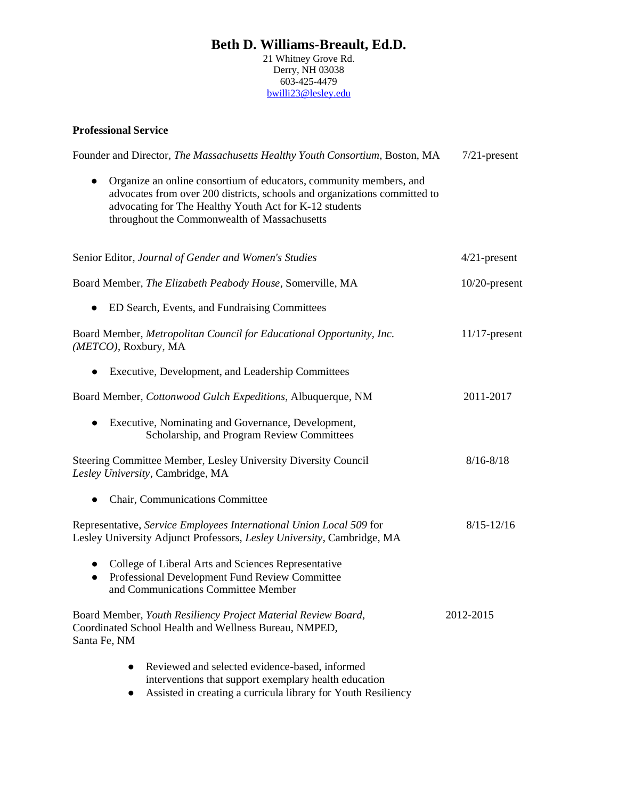21 Whitney Grove Rd. Derry, NH 03038 603-425-4479 [bwilli23@lesley.edu](mailto:bwilli23@lesley.edu)

### **Professional Service**

| Founder and Director, The Massachusetts Healthy Youth Consortium, Boston, MA                                                                                                                                                                                           | $7/21$ -present  |
|------------------------------------------------------------------------------------------------------------------------------------------------------------------------------------------------------------------------------------------------------------------------|------------------|
| Organize an online consortium of educators, community members, and<br>$\bullet$<br>advocates from over 200 districts, schools and organizations committed to<br>advocating for The Healthy Youth Act for K-12 students<br>throughout the Commonwealth of Massachusetts |                  |
| Senior Editor, Journal of Gender and Women's Studies                                                                                                                                                                                                                   | $4/21$ -present  |
| Board Member, The Elizabeth Peabody House, Somerville, MA                                                                                                                                                                                                              | $10/20$ -present |
| ED Search, Events, and Fundraising Committees                                                                                                                                                                                                                          |                  |
| Board Member, Metropolitan Council for Educational Opportunity, Inc.<br>(METCO), Roxbury, MA                                                                                                                                                                           | $11/17$ -present |
| Executive, Development, and Leadership Committees<br>$\bullet$                                                                                                                                                                                                         |                  |
| Board Member, Cottonwood Gulch Expeditions, Albuquerque, NM                                                                                                                                                                                                            | 2011-2017        |
| Executive, Nominating and Governance, Development,<br>$\bullet$<br>Scholarship, and Program Review Committees                                                                                                                                                          |                  |
| Steering Committee Member, Lesley University Diversity Council<br>Lesley University, Cambridge, MA                                                                                                                                                                     | $8/16 - 8/18$    |
| Chair, Communications Committee<br>$\bullet$                                                                                                                                                                                                                           |                  |
| Representative, Service Employees International Union Local 509 for<br>Lesley University Adjunct Professors, Lesley University, Cambridge, MA                                                                                                                          | $8/15 - 12/16$   |
| College of Liberal Arts and Sciences Representative<br>$\bullet$<br>Professional Development Fund Review Committee<br>$\bullet$<br>and Communications Committee Member                                                                                                 |                  |
| Board Member, Youth Resiliency Project Material Review Board,<br>Coordinated School Health and Wellness Bureau, NMPED,<br>Santa Fe, NM                                                                                                                                 | 2012-2015        |
| Reviewed and selected evidence-based, informed<br>interventions that support exemplary health education<br>Assisted in creating a curricula library for Youth Resiliency                                                                                               |                  |